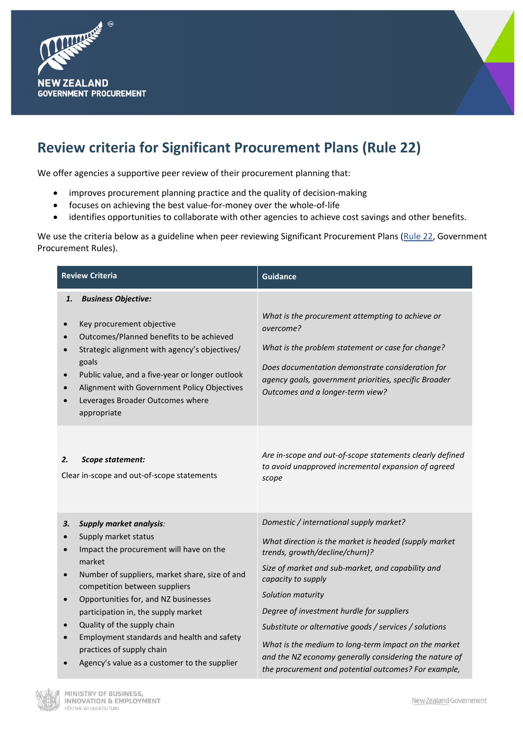



## **Review criteria for Significant Procurement Plans (Rule 22)**

We offer agencies a supportive peer review of their procurement planning that:

- improves procurement planning practice and the quality of decision-making
- focuses on achieving the best value-for-money over the whole-of-life
- identifies opportunities to collaborate with other agencies to achieve cost savings and other benefits.

We use the criteria below as a guideline when peer reviewing Significant Procurement Plans [\(Rule 22,](https://www.procurement.govt.nz/procurement/principles-and-rules/government-procurement-rules/planning-your-procurement/significant-procurement-plans/) Government Procurement Rules).

| <b>Review Criteria</b>                                                                                                                                                                                                                                                                                                                                                                                                                                     | <b>Guidance</b>                                                                                                                                                                                                                                                                                                                                                                                                                                                                                                     |
|------------------------------------------------------------------------------------------------------------------------------------------------------------------------------------------------------------------------------------------------------------------------------------------------------------------------------------------------------------------------------------------------------------------------------------------------------------|---------------------------------------------------------------------------------------------------------------------------------------------------------------------------------------------------------------------------------------------------------------------------------------------------------------------------------------------------------------------------------------------------------------------------------------------------------------------------------------------------------------------|
| <b>Business Objective:</b><br>1.<br>Key procurement objective<br>Outcomes/Planned benefits to be achieved<br>Strategic alignment with agency's objectives/<br>goals<br>Public value, and a five-year or longer outlook<br>Alignment with Government Policy Objectives<br>Leverages Broader Outcomes where<br>appropriate                                                                                                                                   | What is the procurement attempting to achieve or<br>overcome?<br>What is the problem statement or case for change?<br>Does documentation demonstrate consideration for<br>agency goals, government priorities, specific Broader<br>Outcomes and a longer-term view?                                                                                                                                                                                                                                                 |
| 2.<br>Scope statement:<br>Clear in-scope and out-of-scope statements                                                                                                                                                                                                                                                                                                                                                                                       | Are in-scope and out-of-scope statements clearly defined<br>to avoid unapproved incremental expansion of agreed<br>scope                                                                                                                                                                                                                                                                                                                                                                                            |
| З.<br><b>Supply market analysis:</b><br>Supply market status<br>Impact the procurement will have on the<br>market<br>Number of suppliers, market share, size of and<br>competition between suppliers<br>Opportunities for, and NZ businesses<br>$\bullet$<br>participation in, the supply market<br>Quality of the supply chain<br>Employment standards and health and safety<br>practices of supply chain<br>Agency's value as a customer to the supplier | Domestic / international supply market?<br>What direction is the market is headed (supply market<br>trends, growth/decline/churn)?<br>Size of market and sub-market, and capability and<br>capacity to supply<br>Solution maturity<br>Degree of investment hurdle for suppliers<br>Substitute or alternative goods / services / solutions<br>What is the medium to long-term impact on the market<br>and the NZ economy generally considering the nature of<br>the procurement and potential outcomes? For example, |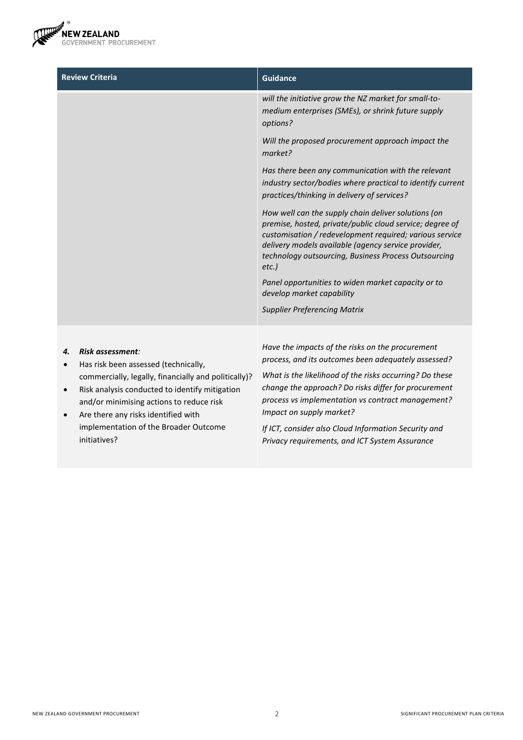

| <b>Review Criteria</b> | <b>Guidance</b>                                                                                                                                                                                                                                                                                    |
|------------------------|----------------------------------------------------------------------------------------------------------------------------------------------------------------------------------------------------------------------------------------------------------------------------------------------------|
|                        | will the initiative grow the NZ market for small-to-<br>medium enterprises (SMEs), or shrink future supply<br>options?                                                                                                                                                                             |
|                        | Will the proposed procurement approach impact the<br>market?                                                                                                                                                                                                                                       |
|                        | Has there been any communication with the relevant<br>industry sector/bodies where practical to identify current<br>practices/thinking in delivery of services?                                                                                                                                    |
|                        | How well can the supply chain deliver solutions (on<br>premise, hosted, private/public cloud service; degree of<br>customisation / redevelopment required; various service<br>delivery models available (agency service provider,<br>technology outsourcing, Business Process Outsourcing<br>etc.) |
|                        | Panel opportunities to widen market capacity or to<br>develop market capability                                                                                                                                                                                                                    |
|                        | <b>Supplier Preferencing Matrix</b>                                                                                                                                                                                                                                                                |
|                        | Have the impacts of the ricks on the procurament                                                                                                                                                                                                                                                   |

## *4. Risk assessment:*

- Has risk been assessed (technically, commercially, legally, financially and politically)?
- Risk analysis conducted to identify mitigation and/or minimising actions to reduce risk
- Are there any risks identified with implementation of the Broader Outcome initiatives?

*Have the impacts of the risks on the procurement process, and its outcomes been adequately assessed?* 

*What is the likelihood of the risks occurring? Do these change the approach? Do risks differ for procurement process vs implementation vs contract management? Impact on supply market?* 

*If ICT, consider also Cloud Information Security and Privacy requirements, and ICT System Assurance*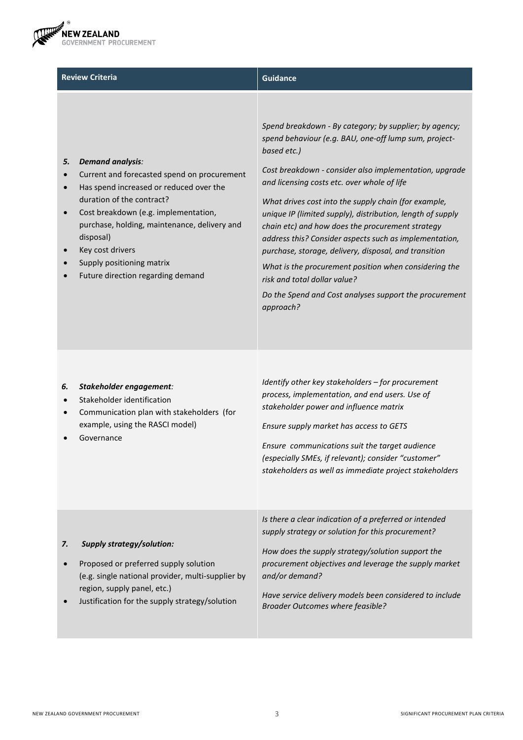

| <b>Review Criteria</b>                                                                                                                                                                                                                                                                                                                                       | <b>Guidance</b>                                                                                                                                                                                                                                                                                                                                                                                                                                                                                                                                                                                                                                                                                      |
|--------------------------------------------------------------------------------------------------------------------------------------------------------------------------------------------------------------------------------------------------------------------------------------------------------------------------------------------------------------|------------------------------------------------------------------------------------------------------------------------------------------------------------------------------------------------------------------------------------------------------------------------------------------------------------------------------------------------------------------------------------------------------------------------------------------------------------------------------------------------------------------------------------------------------------------------------------------------------------------------------------------------------------------------------------------------------|
| 5.<br><b>Demand analysis:</b><br>Current and forecasted spend on procurement<br>Has spend increased or reduced over the<br>duration of the contract?<br>Cost breakdown (e.g. implementation,<br>$\bullet$<br>purchase, holding, maintenance, delivery and<br>disposal)<br>Key cost drivers<br>Supply positioning matrix<br>Future direction regarding demand | Spend breakdown - By category; by supplier; by agency;<br>spend behaviour (e.g. BAU, one-off lump sum, project-<br>based etc.)<br>Cost breakdown - consider also implementation, upgrade<br>and licensing costs etc. over whole of life<br>What drives cost into the supply chain (for example,<br>unique IP (limited supply), distribution, length of supply<br>chain etc) and how does the procurement strategy<br>address this? Consider aspects such as implementation,<br>purchase, storage, delivery, disposal, and transition<br>What is the procurement position when considering the<br>risk and total dollar value?<br>Do the Spend and Cost analyses support the procurement<br>approach? |

## *6. Stakeholder engagement:*

- Stakeholder identification
- Communication plan with stakeholders (for example, using the RASCI model)
- **Governance**

*Identify other key stakeholders – for procurement process, implementation, and end users. Use of stakeholder power and influence matrix*

*Ensure supply market has access to GETS* 

*Ensure communications suit the target audience (especially SMEs, if relevant); consider "customer" stakeholders as well as immediate project stakeholders*

|    |                                                                               | Is there a clear indication of a preferred or intended<br>supply strategy or solution for this procurement? |
|----|-------------------------------------------------------------------------------|-------------------------------------------------------------------------------------------------------------|
| 7. | <b>Supply strategy/solution:</b>                                              | How does the supply strategy/solution support the                                                           |
|    | Proposed or preferred supply solution                                         | procurement objectives and leverage the supply market                                                       |
|    | (e.g. single national provider, multi-supplier by                             | and/or demand?                                                                                              |
|    | region, supply panel, etc.)<br>Justification for the supply strategy/solution | Have service delivery models been considered to include<br><b>Broader Outcomes where feasible?</b>          |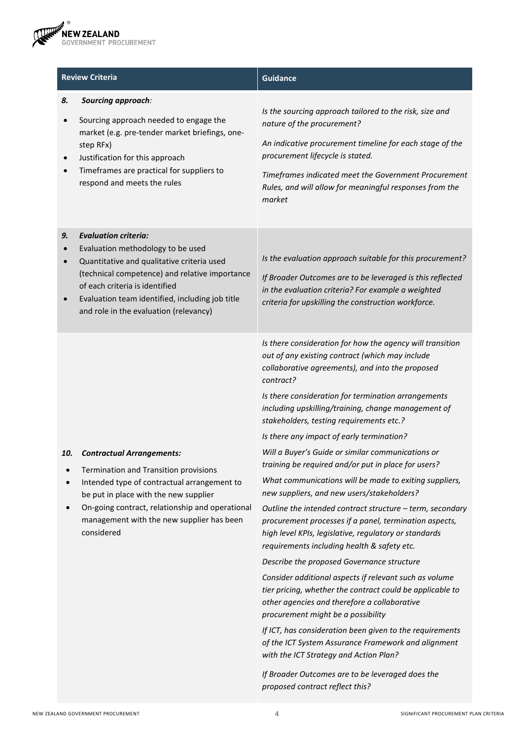

|                  | <b>Review Criteria</b>                                                                                                                                                                                                                                                                          | <b>Guidance</b>                                                                                                                                                                                                                                                                                                                                                                                                                                                                                                                                                                                                                                                                                                                                                                                                                                                                                                                                                                                                                                                                                                                                                                                                                                                                                                                                        |
|------------------|-------------------------------------------------------------------------------------------------------------------------------------------------------------------------------------------------------------------------------------------------------------------------------------------------|--------------------------------------------------------------------------------------------------------------------------------------------------------------------------------------------------------------------------------------------------------------------------------------------------------------------------------------------------------------------------------------------------------------------------------------------------------------------------------------------------------------------------------------------------------------------------------------------------------------------------------------------------------------------------------------------------------------------------------------------------------------------------------------------------------------------------------------------------------------------------------------------------------------------------------------------------------------------------------------------------------------------------------------------------------------------------------------------------------------------------------------------------------------------------------------------------------------------------------------------------------------------------------------------------------------------------------------------------------|
| 8.<br>$\bullet$  | Sourcing approach:<br>Sourcing approach needed to engage the<br>market (e.g. pre-tender market briefings, one-<br>step RFx)<br>Justification for this approach<br>Timeframes are practical for suppliers to<br>respond and meets the rules                                                      | Is the sourcing approach tailored to the risk, size and<br>nature of the procurement?<br>An indicative procurement timeline for each stage of the<br>procurement lifecycle is stated.<br>Timeframes indicated meet the Government Procurement<br>Rules, and will allow for meaningful responses from the<br>market                                                                                                                                                                                                                                                                                                                                                                                                                                                                                                                                                                                                                                                                                                                                                                                                                                                                                                                                                                                                                                     |
| 9.<br>$\bullet$  | <b>Evaluation criteria:</b><br>Evaluation methodology to be used<br>Quantitative and qualitative criteria used<br>(technical competence) and relative importance<br>of each criteria is identified<br>Evaluation team identified, including job title<br>and role in the evaluation (relevancy) | Is the evaluation approach suitable for this procurement?<br>If Broader Outcomes are to be leveraged is this reflected<br>in the evaluation criteria? For example a weighted<br>criteria for upskilling the construction workforce.                                                                                                                                                                                                                                                                                                                                                                                                                                                                                                                                                                                                                                                                                                                                                                                                                                                                                                                                                                                                                                                                                                                    |
| 10.<br>$\bullet$ | <b>Contractual Arrangements:</b><br>Termination and Transition provisions<br>Intended type of contractual arrangement to<br>be put in place with the new supplier<br>On-going contract, relationship and operational<br>management with the new supplier has been<br>considered                 | Is there consideration for how the agency will transition<br>out of any existing contract (which may include<br>collaborative agreements), and into the proposed<br>contract?<br>Is there consideration for termination arrangements<br>including upskilling/training, change management of<br>stakeholders, testing requirements etc.?<br>Is there any impact of early termination?<br>Will a Buyer's Guide or similar communications or<br>training be required and/or put in place for users?<br>What communications will be made to exiting suppliers,<br>new suppliers, and new users/stakeholders?<br>Outline the intended contract structure - term, secondary<br>procurement processes if a panel, termination aspects,<br>high level KPIs, legislative, regulatory or standards<br>requirements including health & safety etc.<br>Describe the proposed Governance structure<br>Consider additional aspects if relevant such as volume<br>tier pricing, whether the contract could be applicable to<br>other agencies and therefore a collaborative<br>procurement might be a possibility<br>If ICT, has consideration been given to the requirements<br>of the ICT System Assurance Framework and alignment<br>with the ICT Strategy and Action Plan?<br>If Broader Outcomes are to be leveraged does the<br>proposed contract reflect this? |